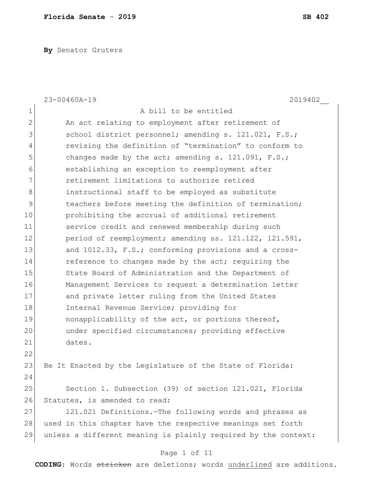**By** Senator Gruters

|              | $23 - 00460A - 19$<br>2019402                                  |
|--------------|----------------------------------------------------------------|
| 1            | A bill to be entitled                                          |
| 2            | An act relating to employment after retirement of              |
| 3            | school district personnel; amending s. 121.021, F.S.;          |
| 4            | revising the definition of "termination" to conform to         |
| 5            | changes made by the act; amending s. $121.091$ , F.S.;         |
| 6            | establishing an exception to reemployment after                |
| 7            | retirement limitations to authorize retired                    |
| 8            | instructional staff to be employed as substitute               |
| $\mathsf{S}$ | teachers before meeting the definition of termination;         |
| 10           | prohibiting the accrual of additional retirement               |
| 11           | service credit and renewed membership during such              |
| 12           | period of reemployment; amending ss. 121.122, 121.591,         |
| 13           | and 1012.33, F.S.; conforming provisions and a cross-          |
| 14           | reference to changes made by the act; requiring the            |
| 15           | State Board of Administration and the Department of            |
| 16           | Management Services to request a determination letter          |
| 17           | and private letter ruling from the United States               |
| 18           | Internal Revenue Service; providing for                        |
| 19           | nonapplicability of the act, or portions thereof,              |
| 20           | under specified circumstances; providing effective             |
| 21           | dates.                                                         |
| 22           |                                                                |
| 23           | Be It Enacted by the Legislature of the State of Florida:      |
| 24           |                                                                |
| 25           | Section 1. Subsection (39) of section 121.021, Florida         |
| 26           | Statutes, is amended to read:                                  |
| 27           | 121.021 Definitions. The following words and phrases as        |
| 28           | used in this chapter have the respective meanings set forth    |
| 29           | unless a different meaning is plainly required by the context: |
|              | Page 1 of 11                                                   |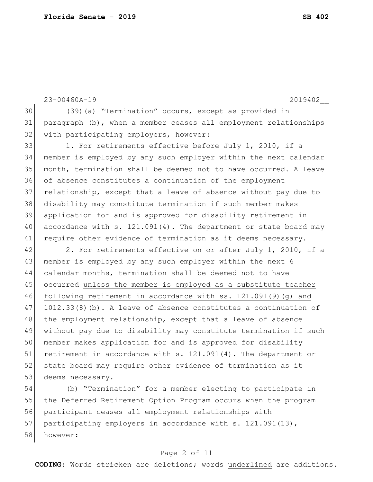```
23-00460A-19 2019402__
30 (39)(a) "Termination" occurs, except as provided in 
31 paragraph (b), when a member ceases all employment relationships 
32 with participating employers, however:
33 1. For retirements effective before July 1, 2010, if a
34 member is employed by any such employer within the next calendar 
35 month, termination shall be deemed not to have occurred. A leave 
36 of absence constitutes a continuation of the employment 
37 relationship, except that a leave of absence without pay due to 
38 disability may constitute termination if such member makes 
39 application for and is approved for disability retirement in 
40 accordance with s. 121.091(4). The department or state board may
41 require other evidence of termination as it deems necessary.
42 2. For retirements effective on or after July 1, 2010, if a
43 member is employed by any such employer within the next 6 
44 calendar months, termination shall be deemed not to have 
45 occurred unless the member is employed as a substitute teacher
46 following retirement in accordance with ss. 121.091(9)(g) and 
47 1012.33(8)(b). A leave of absence constitutes a continuation of 
48 the employment relationship, except that a leave of absence
49 without pay due to disability may constitute termination if such 
50 member makes application for and is approved for disability 
51 retirement in accordance with s. 121.091(4). The department or
52 state board may require other evidence of termination as it
53 deems necessary.
54 (b) "Termination" for a member electing to participate in 
55 the Deferred Retirement Option Program occurs when the program 
56 participant ceases all employment relationships with 
57 participating employers in accordance with s. 121.091(13),
```
58 however:

### Page 2 of 11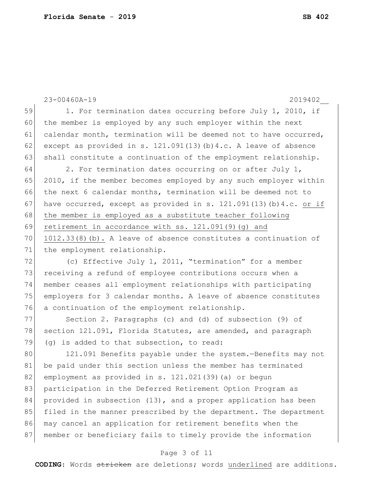|    | $23 - 00460A - 19$<br>2019402                                        |
|----|----------------------------------------------------------------------|
| 59 | 1. For termination dates occurring before July 1, 2010, if           |
| 60 | the member is employed by any such employer within the next          |
| 61 | calendar month, termination will be deemed not to have occurred,     |
| 62 | except as provided in s. $121.091(13)$ (b) 4.c. A leave of absence   |
| 63 | shall constitute a continuation of the employment relationship.      |
| 64 | 2. For termination dates occurring on or after July 1,               |
| 65 | 2010, if the member becomes employed by any such employer within     |
| 66 | the next 6 calendar months, termination will be deemed not to        |
| 67 | have occurred, except as provided in s. $121.091(13)$ (b) 4.c. or if |
| 68 | the member is employed as a substitute teacher following             |
| 69 | retirement in accordance with ss. 121.091(9) (g) and                 |
| 70 | $1012.33(8)(b)$ . A leave of absence constitutes a continuation of   |
| 71 | the employment relationship.                                         |
| 72 | (c) Effective July 1, 2011, "termination" for a member               |
| 73 | receiving a refund of employee contributions occurs when a           |
| 74 | member ceases all employment relationships with participating        |
| 75 | employers for 3 calendar months. A leave of absence constitutes      |
| 76 | a continuation of the employment relationship.                       |
| 77 | Section 2. Paragraphs (c) and (d) of subsection $(9)$ of             |
| 78 | section 121.091, Florida Statutes, are amended, and paragraph        |
| 79 | (q) is added to that subsection, to read:                            |
| 80 | 121.091 Benefits payable under the system.-Benefits may not          |
| 81 | be paid under this section unless the member has terminated          |
| 82 | employment as provided in s. 121.021(39) (a) or begun                |
| 83 | participation in the Deferred Retirement Option Program as           |
| 84 | provided in subsection (13), and a proper application has been       |
| 85 | filed in the manner prescribed by the department. The department     |
| 86 | may cancel an application for retirement benefits when the           |
| 87 | member or beneficiary fails to timely provide the information        |

# Page 3 of 11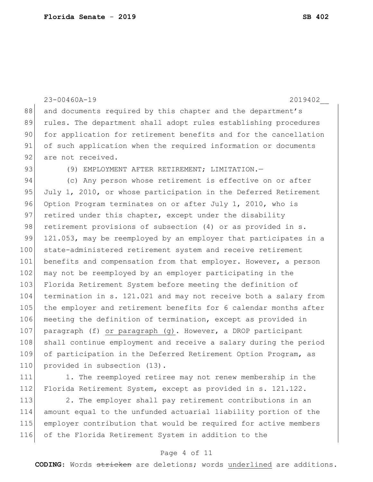|     | $23 - 00460A - 19$<br>2019402                                    |
|-----|------------------------------------------------------------------|
| 88  | and documents required by this chapter and the department's      |
| 89  | rules. The department shall adopt rules establishing procedures  |
| 90  | for application for retirement benefits and for the cancellation |
| 91  | of such application when the required information or documents   |
| 92  | are not received.                                                |
| 93  | (9) EMPLOYMENT AFTER RETIREMENT; LIMITATION.-                    |
| 94  | (c) Any person whose retirement is effective on or after         |
| 95  | July 1, 2010, or whose participation in the Deferred Retirement  |
| 96  | Option Program terminates on or after July 1, 2010, who is       |
| 97  | retired under this chapter, except under the disability          |
| 98  | retirement provisions of subsection (4) or as provided in s.     |
| 99  | 121.053, may be reemployed by an employer that participates in a |
| 100 | state-administered retirement system and receive retirement      |
| 101 | benefits and compensation from that employer. However, a person  |
| 102 | may not be reemployed by an employer participating in the        |
| 103 | Florida Retirement System before meeting the definition of       |
| 104 | termination in s. 121.021 and may not receive both a salary from |
| 105 | the employer and retirement benefits for 6 calendar months after |
| 106 | meeting the definition of termination, except as provided in     |
| 107 | paragraph (f) or paragraph (g). However, a DROP participant      |
| 108 | shall continue employment and receive a salary during the period |
| 109 | of participation in the Deferred Retirement Option Program, as   |
| 110 | provided in subsection (13).                                     |
| 111 | 1. The reemployed retiree may not renew membership in the        |
| 112 | Florida Retirement System, except as provided in s. 121.122.     |

113 2. The employer shall pay retirement contributions in an amount equal to the unfunded actuarial liability portion of the 115 employer contribution that would be required for active members 116 of the Florida Retirement System in addition to the

### Page 4 of 11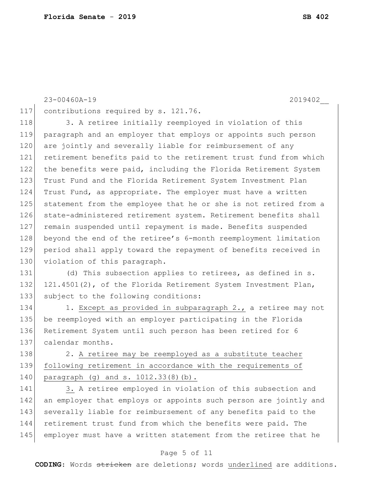23-00460A-19 2019402\_\_ 117 contributions required by s. 121.76. 118 3. A retiree initially reemployed in violation of this 119 paragraph and an employer that employs or appoints such person 120 are jointly and severally liable for reimbursement of any 121 retirement benefits paid to the retirement trust fund from which 122 the benefits were paid, including the Florida Retirement System 123 Trust Fund and the Florida Retirement System Investment Plan 124 Trust Fund, as appropriate. The employer must have a written 125 statement from the employee that he or she is not retired from a 126 state-administered retirement system. Retirement benefits shall 127 remain suspended until repayment is made. Benefits suspended 128 beyond the end of the retiree's 6-month reemployment limitation 129 period shall apply toward the repayment of benefits received in 130 violation of this paragraph. 131 (d) This subsection applies to retirees, as defined in s. 132 121.4501(2), of the Florida Retirement System Investment Plan, 133 subject to the following conditions: 134 1. Except as provided in subparagraph 2., a retiree may not

135 be reemployed with an employer participating in the Florida 136 Retirement System until such person has been retired for 6 137 calendar months.

138 2. A retiree may be reemployed as a substitute teacher 139 following retirement in accordance with the requirements of 140 paragraph (g) and s. 1012.33(8)(b).

141 3. A retiree employed in violation of this subsection and 142 an employer that employs or appoints such person are jointly and 143 severally liable for reimbursement of any benefits paid to the 144 retirement trust fund from which the benefits were paid. The 145 employer must have a written statement from the retiree that he

### Page 5 of 11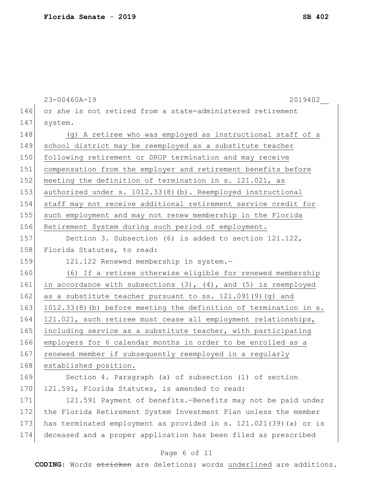|     | 23-00460A-19<br>2019402                                                |
|-----|------------------------------------------------------------------------|
| 146 | or she is not retired from a state-administered retirement             |
| 147 | system.                                                                |
| 148 | (g) A retiree who was employed as instructional staff of a             |
| 149 | school district may be reemployed as a substitute teacher              |
| 150 | following retirement or DROP termination and may receive               |
| 151 | compensation from the employer and retirement benefits before          |
| 152 | meeting the definition of termination in s. 121.021, as                |
| 153 | authorized under s. 1012.33(8)(b). Reemployed instructional            |
| 154 | staff may not receive additional retirement service credit for         |
| 155 | such employment and may not renew membership in the Florida            |
| 156 | Retirement System during such period of employment.                    |
| 157 | Section 3. Subsection (6) is added to section $121.122$ ,              |
| 158 | Florida Statutes, to read:                                             |
| 159 | 121.122 Renewed membership in system.-                                 |
| 160 | (6) If a retiree otherwise eligible for renewed membership             |
| 161 | in accordance with subsections $(3)$ , $(4)$ , and $(5)$ is reemployed |
| 162 | as a substitute teacher pursuant to ss. 121.091(9) (g) and             |
| 163 | 1012.33(8) (b) before meeting the definition of termination in s.      |
| 164 | 121.021, such retiree must cease all employment relationships,         |
| 165 | including service as a substitute teacher, with participating          |
| 166 | employers for 6 calendar months in order to be enrolled as a           |
| 167 | renewed member if subsequently reemployed in a regularly               |
| 168 | established position.                                                  |
| 169 | Section 4. Paragraph (a) of subsection (1) of section                  |
| 170 | 121.591, Florida Statutes, is amended to read:                         |
| 171 | 121.591 Payment of benefits. - Benefits may not be paid under          |
| 172 | the Florida Retirement System Investment Plan unless the member        |
| 173 | has terminated employment as provided in s. 121.021(39) (a) or is      |
| 174 | deceased and a proper application has been filed as prescribed         |
|     |                                                                        |

## Page 6 of 11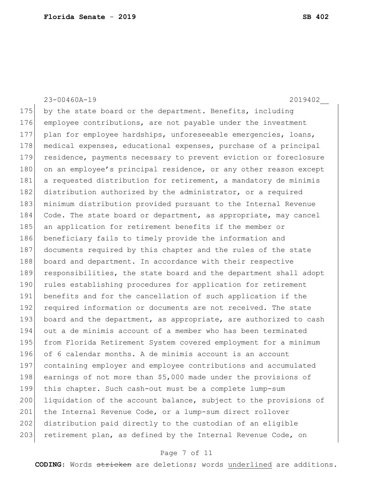23-00460A-19 2019402\_\_ 175 by the state board or the department. Benefits, including 176 employee contributions, are not payable under the investment 177 plan for employee hardships, unforeseeable emergencies, loans, 178 medical expenses, educational expenses, purchase of a principal 179 residence, payments necessary to prevent eviction or foreclosure 180 on an employee's principal residence, or any other reason except 181 a requested distribution for retirement, a mandatory de minimis 182 distribution authorized by the administrator, or a required 183 minimum distribution provided pursuant to the Internal Revenue 184 Code. The state board or department, as appropriate, may cancel 185 an application for retirement benefits if the member or 186 beneficiary fails to timely provide the information and 187 documents required by this chapter and the rules of the state 188 board and department. In accordance with their respective 189 responsibilities, the state board and the department shall adopt 190 rules establishing procedures for application for retirement 191 benefits and for the cancellation of such application if the 192 required information or documents are not received. The state 193 board and the department, as appropriate, are authorized to cash 194 out a de minimis account of a member who has been terminated 195 from Florida Retirement System covered employment for a minimum 196 of 6 calendar months. A de minimis account is an account 197 containing employer and employee contributions and accumulated 198 earnings of not more than \$5,000 made under the provisions of 199 this chapter. Such cash-out must be a complete lump-sum 200 liquidation of the account balance, subject to the provisions of 201 the Internal Revenue Code, or a lump-sum direct rollover 202 distribution paid directly to the custodian of an eligible 203 retirement plan, as defined by the Internal Revenue Code, on

### Page 7 of 11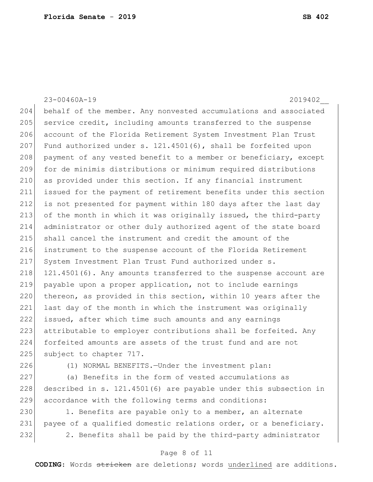|     | 23-00460A-19<br>2019402                                          |
|-----|------------------------------------------------------------------|
| 204 | behalf of the member. Any nonvested accumulations and associated |
| 205 | service credit, including amounts transferred to the suspense    |
| 206 | account of the Florida Retirement System Investment Plan Trust   |
| 207 | Fund authorized under s. $121.4501(6)$ , shall be forfeited upon |
| 208 | payment of any vested benefit to a member or beneficiary, except |
| 209 | for de minimis distributions or minimum required distributions   |
| 210 | as provided under this section. If any financial instrument      |
| 211 | issued for the payment of retirement benefits under this section |
| 212 | is not presented for payment within 180 days after the last day  |
| 213 | of the month in which it was originally issued, the third-party  |
| 214 | administrator or other duly authorized agent of the state board  |
| 215 | shall cancel the instrument and credit the amount of the         |
| 216 | instrument to the suspense account of the Florida Retirement     |
| 217 | System Investment Plan Trust Fund authorized under s.            |
| 218 | 121.4501(6). Any amounts transferred to the suspense account are |
| 219 | payable upon a proper application, not to include earnings       |
| 220 | thereon, as provided in this section, within 10 years after the  |
| 221 | last day of the month in which the instrument was originally     |
| 222 | issued, after which time such amounts and any earnings           |
| 223 | attributable to employer contributions shall be forfeited. Any   |
| 224 | forfeited amounts are assets of the trust fund and are not       |
| 225 | subject to chapter 717.                                          |
| 226 | (1) NORMAL BENEFITS. - Under the investment plan:                |
| 227 | (a) Benefits in the form of vested accumulations as              |
| 228 | described in s. 121.4501(6) are payable under this subsection in |
| 229 | accordance with the following terms and conditions:              |
| 230 | 1. Benefits are payable only to a member, an alternate           |
| 231 | payee of a qualified domestic relations order, or a beneficiary. |

232 2. Benefits shall be paid by the third-party administrator

### Page 8 of 11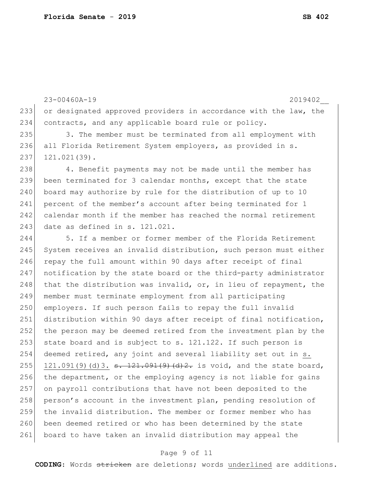23-00460A-19 2019402\_\_ 233 or designated approved providers in accordance with the law, the 234 contracts, and any applicable board rule or policy. 235 3. The member must be terminated from all employment with 236 all Florida Retirement System employers, as provided in s. 237 121.021(39). 238 4. Benefit payments may not be made until the member has 239 been terminated for 3 calendar months, except that the state 240 board may authorize by rule for the distribution of up to 10 241 percent of the member's account after being terminated for 1 242 calendar month if the member has reached the normal retirement 243 date as defined in s.  $121.021$ . 244 5. If a member or former member of the Florida Retirement 245 System receives an invalid distribution, such person must either 246 repay the full amount within 90 days after receipt of final 247 notification by the state board or the third-party administrator 248 that the distribution was invalid, or, in lieu of repayment, the 249 member must terminate employment from all participating 250 employers. If such person fails to repay the full invalid 251 distribution within 90 days after receipt of final notification, 252 the person may be deemed retired from the investment plan by the 253 state board and is subject to s.  $121.122$ . If such person is 254 deemed retired, any joint and several liability set out in s. 255 121.091(9)(d)3.  $\frac{121.091(9)(d)}{2.5}$  is void, and the state board, 256 the department, or the employing agency is not liable for gains 257 on payroll contributions that have not been deposited to the 258 person's account in the investment plan, pending resolution of 259 the invalid distribution. The member or former member who has 260 been deemed retired or who has been determined by the state 261 board to have taken an invalid distribution may appeal the

#### Page 9 of 11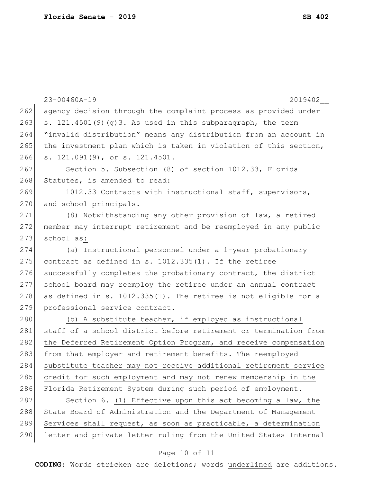|     | $23 - 00460A - 19$<br>2019402                                    |
|-----|------------------------------------------------------------------|
| 262 | agency decision through the complaint process as provided under  |
| 263 | s. $121.4501(9)(q)3$ . As used in this subparagraph, the term    |
| 264 | "invalid distribution" means any distribution from an account in |
| 265 | the investment plan which is taken in violation of this section, |
| 266 | s. 121.091(9), or s. 121.4501.                                   |
| 267 | Section 5. Subsection (8) of section 1012.33, Florida            |
| 268 | Statutes, is amended to read:                                    |
| 269 | 1012.33 Contracts with instructional staff, supervisors,         |
| 270 | and school principals.-                                          |
| 271 | (8) Notwithstanding any other provision of law, a retired        |
| 272 | member may interrupt retirement and be reemployed in any public  |
| 273 | school as:                                                       |
| 274 | (a) Instructional personnel under a 1-year probationary          |
| 275 | contract as defined in s. 1012.335(1). If the retiree            |
| 276 | successfully completes the probationary contract, the district   |
| 277 | school board may reemploy the retiree under an annual contract   |
| 278 | as defined in s. 1012.335(1). The retiree is not eligible for a  |
| 279 | professional service contract.                                   |
| 280 | (b) A substitute teacher, if employed as instructional           |
| 281 | staff of a school district before retirement or termination from |
| 282 | the Deferred Retirement Option Program, and receive compensation |
| 283 | from that employer and retirement benefits. The reemployed       |
| 284 | substitute teacher may not receive additional retirement service |
| 285 | credit for such employment and may not renew membership in the   |
| 286 | Florida Retirement System during such period of employment.      |
| 287 | Section 6. (1) Effective upon this act becoming a law, the       |
| 288 | State Board of Administration and the Department of Management   |
| 289 | Services shall request, as soon as practicable, a determination  |
| 290 | letter and private letter ruling from the United States Internal |
|     |                                                                  |

# Page 10 of 11